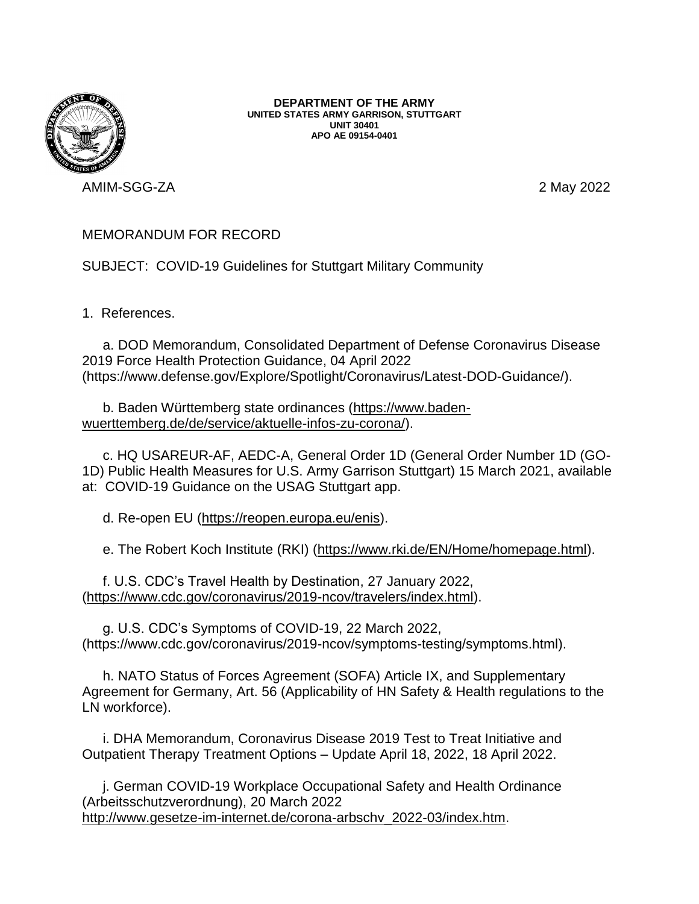

**DEPARTMENT OF THE ARMY UNITED STATES ARMY GARRISON, STUTTGART UNIT 30401 APO AE 09154-0401**

AMIM-SGG-ZA 2 May 2022

## MEMORANDUM FOR RECORD

SUBJECT: COVID-19 Guidelines for Stuttgart Military Community

1. References.

a. DOD Memorandum, Consolidated Department of Defense Coronavirus Disease 2019 Force Health Protection Guidance, 04 April 2022 (https://www.defense.gov/Explore/Spotlight/Coronavirus/Latest-DOD-Guidance/).

b. Baden Württemberg state ordinances [\(https://www.baden](https://www.baden-wuerttemberg.de/de/service/aktuelle-infos-zu-corona/)[wuerttemberg.de/de/service/aktuelle-infos-zu-corona/\)](https://www.baden-wuerttemberg.de/de/service/aktuelle-infos-zu-corona/).

c. HQ USAREUR-AF, AEDC-A, General Order 1D (General Order Number 1D (GO-1D) Public Health Measures for U.S. Army Garrison Stuttgart) 15 March 2021, available at: COVID-19 Guidance on the USAG Stuttgart app.

d. Re-open EU [\(https://reopen.europa.eu/enis\)](https://reopen.europa.eu/enis).

e. The Robert Koch Institute (RKI) [\(https://www.rki.de/EN/Home/homepage.html\)](https://www.rki.de/EN/Home/homepage.html).

f. U.S. CDC's Travel Health by Destination, 27 January 2022, [\(https://www.cdc.gov/coronavirus/2019-ncov/travelers/index.html\)](https://www.cdc.gov/coronavirus/2019-ncov/travelers/index.html).

g. U.S. CDC's Symptoms of COVID-19, 22 March 2022, (https://www.cdc.gov/coronavirus/2019-ncov/symptoms-testing/symptoms.html).

h. NATO Status of Forces Agreement (SOFA) Article IX, and Supplementary Agreement for Germany, Art. 56 (Applicability of HN Safety & Health regulations to the LN workforce).

i. DHA Memorandum, Coronavirus Disease 2019 Test to Treat Initiative and Outpatient Therapy Treatment Options – Update April 18, 2022, 18 April 2022.

j. German COVID-19 Workplace Occupational Safety and Health Ordinance (Arbeitsschutzverordnung), 20 March 2022 [http://www.gesetze-im-internet.de/corona-arbschv\\_2022-03/index.htm.](http://www.gesetze-im-internet.de/corona-arbschv_2022-03/index.htm)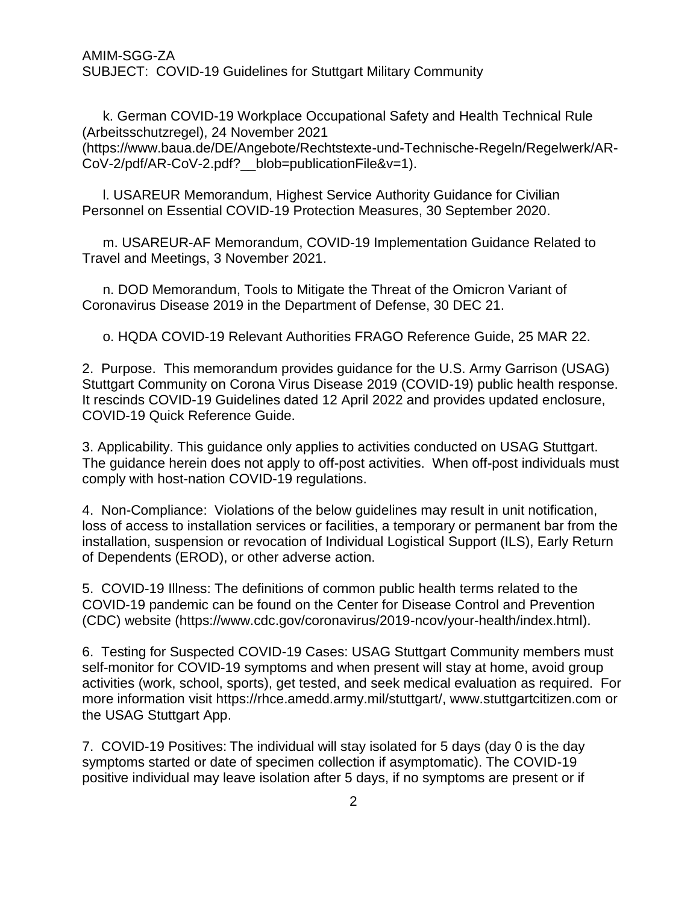AMIM-SGG-ZA SUBJECT: COVID-19 Guidelines for Stuttgart Military Community

k. German COVID-19 Workplace Occupational Safety and Health Technical Rule (Arbeitsschutzregel), 24 November 2021 [\(https://www.baua.de/DE/Angebote/Rechtstexte-und-Technische-Regeln/Regelwerk/AR-](https://www.baua.de/DE/Angebote/Rechtstexte-und-Technische-Regeln/Regelwerk/AR-CoV-2/pdf/AR-CoV-2.pdf?__blob=publicationFile&v=1)[CoV-2/pdf/AR-CoV-2.pdf?\\_\\_blob=publicationFile&v=1\)](https://www.baua.de/DE/Angebote/Rechtstexte-und-Technische-Regeln/Regelwerk/AR-CoV-2/pdf/AR-CoV-2.pdf?__blob=publicationFile&v=1).

l. USAREUR Memorandum, Highest Service Authority Guidance for Civilian Personnel on Essential COVID-19 Protection Measures, 30 September 2020.

m. USAREUR-AF Memorandum, COVID-19 Implementation Guidance Related to Travel and Meetings, 3 November 2021.

n. DOD Memorandum, Tools to Mitigate the Threat of the Omicron Variant of Coronavirus Disease 2019 in the Department of Defense, 30 DEC 21.

o. HQDA COVID-19 Relevant Authorities FRAGO Reference Guide, 25 MAR 22.

2. Purpose. This memorandum provides guidance for the U.S. Army Garrison (USAG) Stuttgart Community on Corona Virus Disease 2019 (COVID-19) public health response. It rescinds COVID-19 Guidelines dated 12 April 2022 and provides updated enclosure, COVID-19 Quick Reference Guide.

3. Applicability. This guidance only applies to activities conducted on USAG Stuttgart. The guidance herein does not apply to off-post activities. When off-post individuals must comply with host-nation COVID-19 regulations.

4. Non-Compliance: Violations of the below guidelines may result in unit notification, loss of access to installation services or facilities, a temporary or permanent bar from the installation, suspension or revocation of Individual Logistical Support (ILS), Early Return of Dependents (EROD), or other adverse action.

5. COVID-19 Illness: The definitions of common public health terms related to the COVID-19 pandemic can be found on the Center for Disease Control and Prevention (CDC) website (https://www.cdc.gov/coronavirus/2019-ncov/your-health/index.html).

6. Testing for Suspected COVID-19 Cases: USAG Stuttgart Community members must self-monitor for COVID-19 symptoms and when present will stay at home, avoid group activities (work, school, sports), get tested, and seek medical evaluation as required. For more information visit https://rhce.amedd.army.mil/stuttgart/, www.stuttgartcitizen.com or the USAG Stuttgart App.

7. COVID-19 Positives: The individual will stay isolated for 5 days (day 0 is the day symptoms started or date of specimen collection if asymptomatic). The COVID-19 positive individual may leave isolation after 5 days, if no symptoms are present or if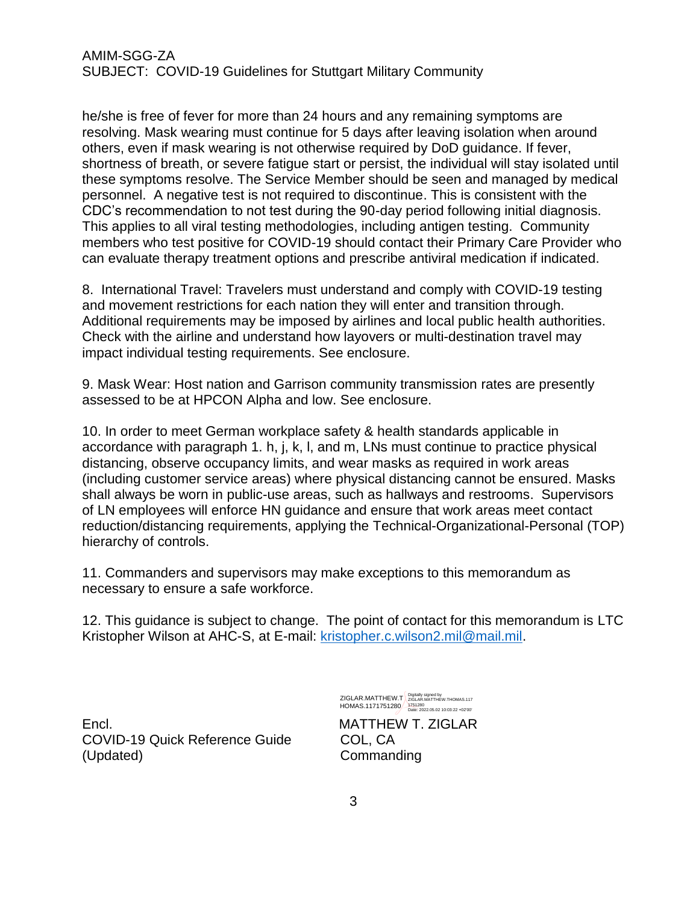he/she is free of fever for more than 24 hours and any remaining symptoms are resolving. Mask wearing must continue for 5 days after leaving isolation when around others, even if mask wearing is not otherwise required by DoD guidance. If fever, shortness of breath, or severe fatigue start or persist, the individual will stay isolated until these symptoms resolve. The Service Member should be seen and managed by medical personnel. A negative test is not required to discontinue. This is consistent with the CDC's recommendation to not test during the 90-day period following initial diagnosis. This applies to all viral testing methodologies, including antigen testing. Community members who test positive for COVID-19 should contact their Primary Care Provider who can evaluate therapy treatment options and prescribe antiviral medication if indicated.

8. International Travel: Travelers must understand and comply with COVID-19 testing and movement restrictions for each nation they will enter and transition through. Additional requirements may be imposed by airlines and local public health authorities. Check with the airline and understand how layovers or multi-destination travel may impact individual testing requirements. See enclosure.

9. Mask Wear: Host nation and Garrison community transmission rates are presently assessed to be at HPCON Alpha and low. See enclosure.

10. In order to meet German workplace safety & health standards applicable in accordance with paragraph 1. h, j, k, l, and m, LNs must continue to practice physical distancing, observe occupancy limits, and wear masks as required in work areas (including customer service areas) where physical distancing cannot be ensured. Masks shall always be worn in public-use areas, such as hallways and restrooms. Supervisors of LN employees will enforce HN guidance and ensure that work areas meet contact reduction/distancing requirements, applying the Technical-Organizational-Personal (TOP) hierarchy of controls.

11. Commanders and supervisors may make exceptions to this memorandum as necessary to ensure a safe workforce.

12. This guidance is subject to change. The point of contact for this memorandum is LTC Kristopher Wilson at AHC-S, at E-mail: [kristopher.c.wilson2.mil@mail.mil.](mailto:kristopher.c.wilson2.mil@mail.mil)

Encl. MATTHEW T. ZIGLAR COVID-19 Quick Reference Guide COL, CA (Updated) Commanding

ZIGLAR.MATTHEW.T Bigitally signed by<br>ZIGLAR.MATTHEW.T ZIGLAR.MATTHEW.THOMAS.117 HOMAS.1171751280 1751280 Date: 2022.05.02 10:03:22 +02'00'